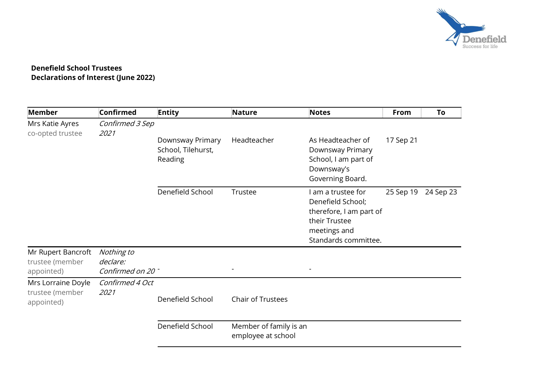

## Denefield School Trustees Declarations of Interest (June 2022)

| Member                                              | <b>Confirmed</b>                            | <b>Entity</b>                                     | <b>Nature</b>                                | <b>Notes</b>                                                                                                              | From      | To        |
|-----------------------------------------------------|---------------------------------------------|---------------------------------------------------|----------------------------------------------|---------------------------------------------------------------------------------------------------------------------------|-----------|-----------|
| Mrs Katie Ayres<br>co-opted trustee                 | Confirmed 3 Sep<br>2021                     |                                                   |                                              |                                                                                                                           |           |           |
|                                                     |                                             | Downsway Primary<br>School, Tilehurst,<br>Reading | Headteacher                                  | As Headteacher of<br>Downsway Primary<br>School, I am part of<br>Downsway's<br>Governing Board.                           | 17 Sep 21 |           |
|                                                     |                                             | Denefield School                                  | Trustee                                      | am a trustee for<br>Denefield School;<br>therefore, I am part of<br>their Trustee<br>meetings and<br>Standards committee. | 25 Sep 19 | 24 Sep 23 |
| Mr Rupert Bancroft<br>trustee (member<br>appointed) | Nothing to<br>declare:<br>Confirmed on 20 - |                                                   |                                              |                                                                                                                           |           |           |
| Mrs Lorraine Doyle<br>trustee (member<br>appointed) | Confirmed 4 Oct<br><i>2021</i>              | Denefield School                                  | <b>Chair of Trustees</b>                     |                                                                                                                           |           |           |
|                                                     |                                             | Denefield School                                  | Member of family is an<br>employee at school |                                                                                                                           |           |           |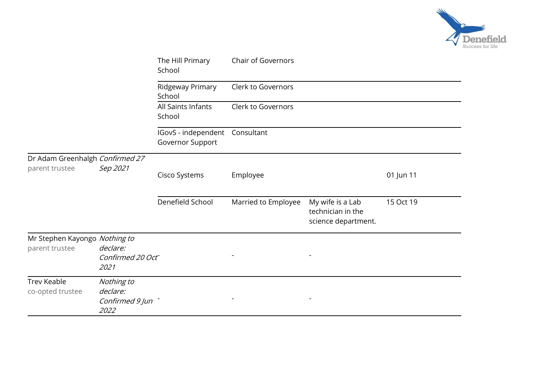

|                                                   |                                                   | The Hill Primary<br>School                         | <b>Chair of Governors</b> |                                                              |           |
|---------------------------------------------------|---------------------------------------------------|----------------------------------------------------|---------------------------|--------------------------------------------------------------|-----------|
|                                                   |                                                   | Ridgeway Primary<br>School                         | Clerk to Governors        |                                                              |           |
|                                                   |                                                   | All Saints Infants<br>School                       | Clerk to Governors        |                                                              |           |
|                                                   |                                                   | IGovS - independent Consultant<br>Governor Support |                           |                                                              |           |
| Dr Adam Greenhalgh Confirmed 27<br>parent trustee | Sep 2021                                          | Cisco Systems                                      | Employee                  |                                                              | 01 Jun 11 |
|                                                   |                                                   | Denefield School                                   | Married to Employee       | My wife is a Lab<br>technician in the<br>science department. | 15 Oct 19 |
| Mr Stephen Kayongo Nothing to<br>parent trustee   | declare:<br>Confirmed 20 Oct<br>2021              |                                                    |                           |                                                              |           |
| <b>Trev Keable</b><br>co-opted trustee            | Nothing to<br>declare:<br>Confirmed 9 Jun<br>2022 |                                                    |                           |                                                              |           |